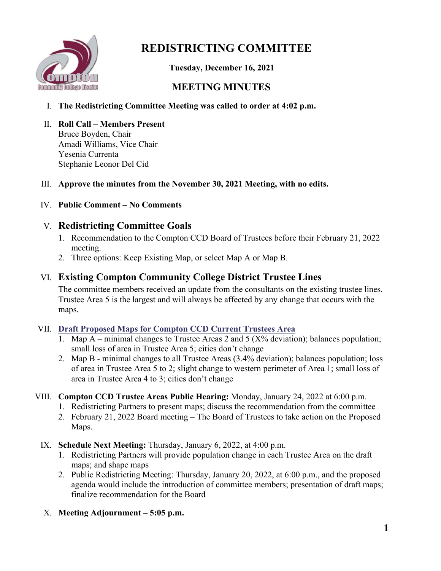

# **REDISTRICTING COMMITTEE**

 **Tuesday, December 16, 2021**

# **MEETING MINUTES**

- I. **The Redistricting Committee Meeting was called to order at 4:02 p.m.**
- II. **Roll Call – Members Present** Bruce Boyden, Chair Amadi Williams, Vice Chair Yesenia Currenta Stephanie Leonor Del Cid

### III. **Approve the minutes from the November 30, 2021 Meeting, with no edits.**

## IV. **Public Comment – No Comments**

## V. **Redistricting Committee Goals**

- 1. Recommendation to the Compton CCD Board of Trustees before their February 21, 2022 meeting.
- 2. Three options: Keep Existing Map, or select Map A or Map B.

## VI. **Existing Compton Community College District Trustee Lines**

The committee members received an update from the consultants on the existing trustee lines. Trustee Area 5 is the largest and will always be affected by any change that occurs with the maps.

### VII. **[Draft Proposed Maps for Compton CCD Current Trustees Area](https://www.compton.edu/district/district_information/docs/121621-CCCD-Redistricting-Presentation.pdf)**

- 1. Map A minimal changes to Trustee Areas 2 and 5 ( $X\%$  deviation); balances population; small loss of area in Trustee Area 5; cities don't change
- 2. Map B minimal changes to all Trustee Areas (3.4% deviation); balances population; loss of area in Trustee Area 5 to 2; slight change to western perimeter of Area 1; small loss of area in Trustee Area 4 to 3; cities don't change

### VIII. **Compton CCD Trustee Areas Public Hearing:** Monday, January 24, 2022 at 6:00 p.m.

- 1. Redistricting Partners to present maps; discuss the recommendation from the committee
- 2. February 21, 2022 Board meeting The Board of Trustees to take action on the Proposed Maps.
- IX. **Schedule Next Meeting:** Thursday, January 6, 2022, at 4:00 p.m.
	- 1. Redistricting Partners will provide population change in each Trustee Area on the draft maps; and shape maps
	- 2. Public Redistricting Meeting: Thursday, January 20, 2022, at 6:00 p.m., and the proposed agenda would include the introduction of committee members; presentation of draft maps; finalize recommendation for the Board
- X. **Meeting Adjournment – 5:05 p.m.**